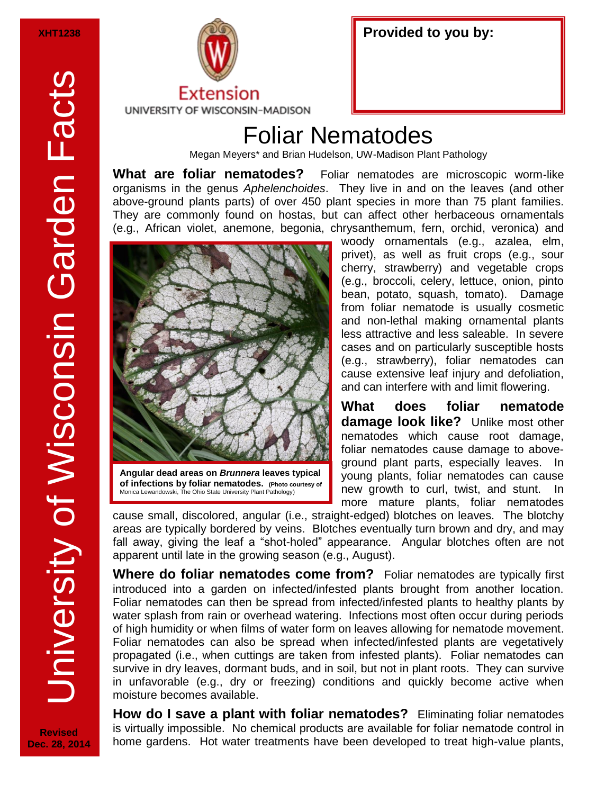**Revised Dec. 28, 2014**



| Provided to you by: |
|---------------------|
|---------------------|

## Foliar Nematodes

Megan Meyers\* and Brian Hudelson, UW-Madison Plant Pathology

**What are foliar nematodes?** Foliar nematodes are microscopic worm-like organisms in the genus *Aphelenchoides*. They live in and on the leaves (and other above-ground plants parts) of over 450 plant species in more than 75 plant families. They are commonly found on hostas, but can affect other herbaceous ornamentals (e.g., African violet, anemone, begonia, chrysanthemum, fern, orchid, veronica) and



**Angular dead areas on** *Brunnera* **leaves typical of infections by foliar nematodes. (Photo courtesy of**  Monica Lewandowski, The Ohio State University Plant Pathology)

woody ornamentals (e.g., azalea, elm, privet), as well as fruit crops (e.g., sour cherry, strawberry) and vegetable crops (e.g., broccoli, celery, lettuce, onion, pinto bean, potato, squash, tomato). Damage from foliar nematode is usually cosmetic and non-lethal making ornamental plants less attractive and less saleable. In severe cases and on particularly susceptible hosts (e.g., strawberry), foliar nematodes can cause extensive leaf injury and defoliation, and can interfere with and limit flowering.

**What does foliar nematode damage look like?** Unlike most other nematodes which cause root damage, foliar nematodes cause damage to aboveground plant parts, especially leaves. In young plants, foliar nematodes can cause new growth to curl, twist, and stunt. more mature plants, foliar nematodes

cause small, discolored, angular (i.e., straight-edged) blotches on leaves. The blotchy areas are typically bordered by veins. Blotches eventually turn brown and dry, and may fall away, giving the leaf a "shot-holed" appearance. Angular blotches often are not apparent until late in the growing season (e.g., August).

**Where do foliar nematodes come from?** Foliar nematodes are typically first introduced into a garden on infected/infested plants brought from another location. Foliar nematodes can then be spread from infected/infested plants to healthy plants by water splash from rain or overhead watering. Infections most often occur during periods of high humidity or when films of water form on leaves allowing for nematode movement. Foliar nematodes can also be spread when infected/infested plants are vegetatively propagated (i.e., when cuttings are taken from infested plants). Foliar nematodes can survive in dry leaves, dormant buds, and in soil, but not in plant roots. They can survive in unfavorable (e.g., dry or freezing) conditions and quickly become active when moisture becomes available.

**How do I save a plant with foliar nematodes?** Eliminating foliar nematodes is virtually impossible. No chemical products are available for foliar nematode control in home gardens. Hot water treatments have been developed to treat high-value plants,